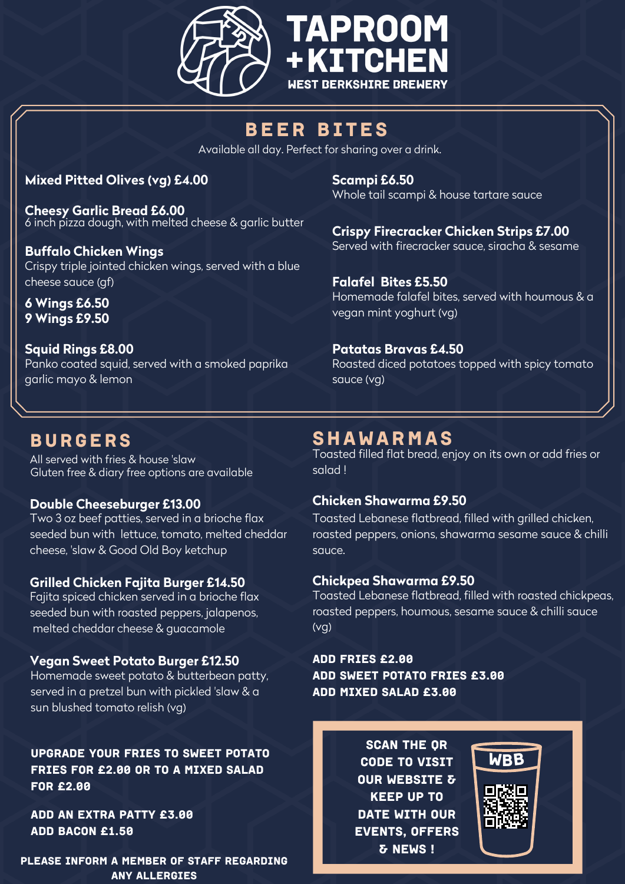

# BEER BITES

Available all day. Perfect for sharing over a drink.

# **Mixed Pitted Olives (vg) £4.00**

**Cheesy Garlic Bread £6.00** 6 inch pizza dough, with melted cheese & garlic butter

**Buffalo Chicken Wings** Crispy triple jointed chicken wings, served with a blue cheese sauce (gf)

**6 Wings £6.50 9 Wings £9.50**

**Squid Rings £8.00** Panko coated squid, served with a smoked paprika garlic mayo & lemon

# BURGERS

All served with fries & house 'slaw Gluten free & diary free options are available

# **Double Cheeseburger £13.00**

Two 3 oz beef patties, served in a brioche flax seeded bun with lettuce, tomato, melted cheddar cheese, 'slaw & Good Old Boy ketchup

# **Grilled Chicken Fajita Burger £14.50**

Fajita spiced chicken served in a brioche flax seeded bun with roasted peppers, jalapenos, melted cheddar cheese & guacamole

## **Vegan Sweet Potato Burger £12.50**

Homemade sweet potato & butterbean patty, served in a pretzel bun with pickled 'slaw & a sun blushed tomato relish (vg)

Upgrade your fries to Sweet Potato Fries for £2.00 or to a mixed salad for £2.00

Add an extra Patty £3.00 Add bacon £1.50

PLEASE INFORM A MEMBER OF STAFF REGARDING ANY ALLERGIES

**Scampi £6.50** Whole tail scampi & house tartare sauce

**Crispy Firecracker Chicken Strips £7.00** Served with firecracker sauce, siracha & sesame

**Falafel Bites £5.50** Homemade falafel bites, served with houmous & a vegan mint yoghurt (vg)

# **Patatas Bravas £4.50**

Roasted diced potatoes topped with spicy tomato sauce (vg)

# SHAWARMAS

Toasted filled flat bread, enjoy on its own or add fries or salad !

## **Chicken Shawarma £9.50**

Toasted Lebanese flatbread, filled with grilled chicken, roasted peppers, onions, shawarma sesame sauce & chilli sauce.

# **Chickpea Shawarma £9.50**

Toasted Lebanese flatbread, filled with roasted chickpeas, roasted peppers, houmous, sesame sauce & chilli sauce (vg)

Add fries £2.00 Add Sweet POtato Fries £3.00 Add mixed Salad £3.00

> SCAN THE OR code to visit our website & keep up to DATE WITH OUR events, offers & news !